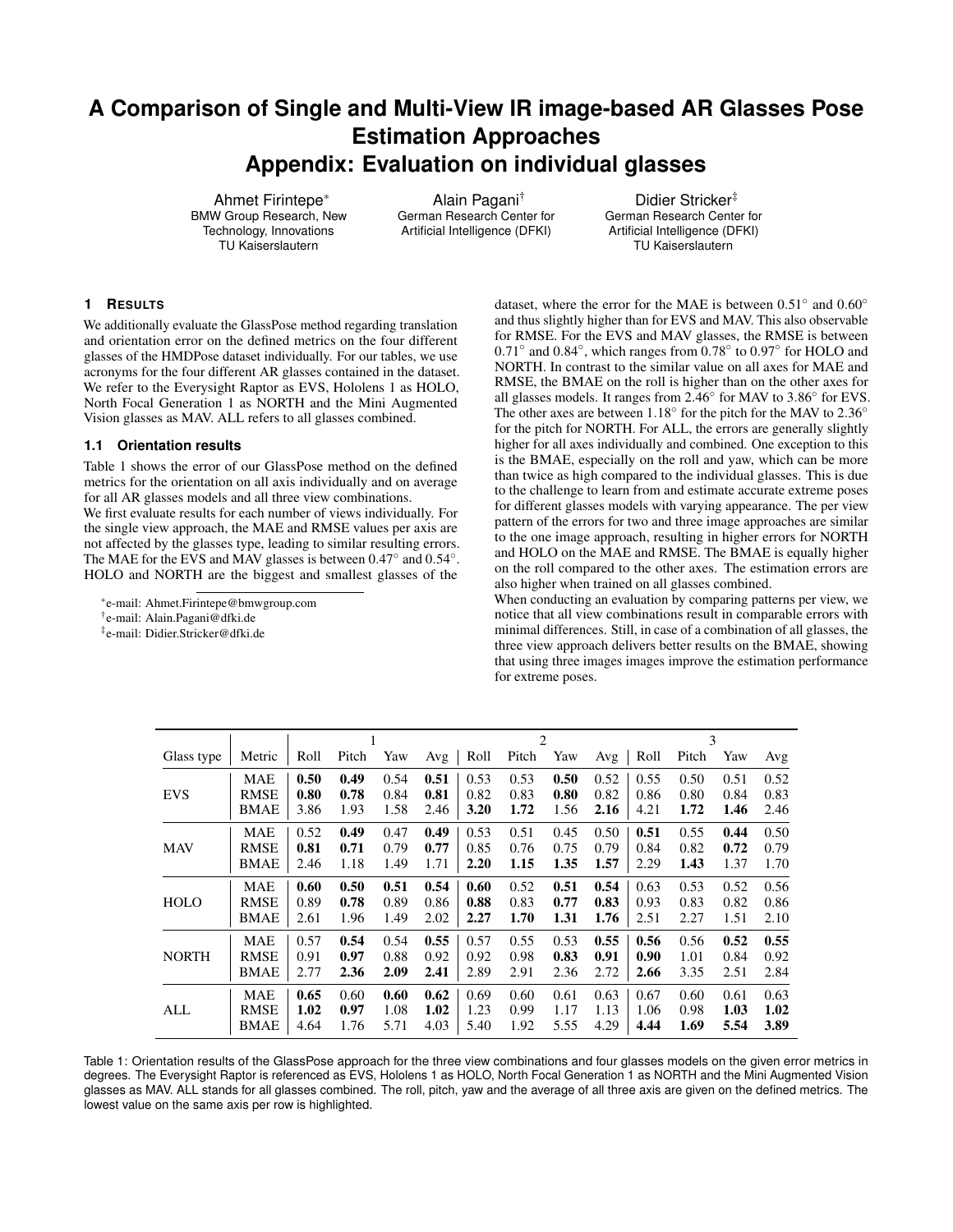# **A Comparison of Single and Multi-View IR image-based AR Glasses Pose Estimation Approaches Appendix: Evaluation on individual glasses**

Ahmet Firintepe\* BMW Group Research, New Technology, Innovations TU Kaiserslautern

Alain Pagani† German Research Center for Artificial Intelligence (DFKI)

Didier Stricker‡ German Research Center for Artificial Intelligence (DFKI) TU Kaiserslautern

## **1 RESULTS**

We additionally evaluate the GlassPose method regarding translation and orientation error on the defined metrics on the four different glasses of the HMDPose dataset individually. For our tables, we use acronyms for the four different AR glasses contained in the dataset. We refer to the Everysight Raptor as EVS, Hololens 1 as HOLO, North Focal Generation 1 as NORTH and the Mini Augmented Vision glasses as MAV. ALL refers to all glasses combined.

## **1.1 Orientation results**

Table [1](#page-0-0) shows the error of our GlassPose method on the defined metrics for the orientation on all axis individually and on average for all AR glasses models and all three view combinations.

We first evaluate results for each number of views individually. For the single view approach, the MAE and RMSE values per axis are not affected by the glasses type, leading to similar resulting errors. The MAE for the EVS and MAV glasses is between 0.47° and 0.54°. HOLO and NORTH are the biggest and smallest glasses of the

\*e-mail: Ahmet.Firintepe@bmwgroup.com

† e-mail: Alain.Pagani@dfki.de

‡ e-mail: Didier.Stricker@dfki.de

dataset, where the error for the MAE is between  $0.51^\circ$  and  $0.60^\circ$ and thus slightly higher than for EVS and MAV. This also observable for RMSE. For the EVS and MAV glasses, the RMSE is between 0.71◦ and 0.84◦ , which ranges from 0.78◦ to 0.97◦ for HOLO and NORTH. In contrast to the similar value on all axes for MAE and RMSE, the BMAE on the roll is higher than on the other axes for all glasses models. It ranges from 2.46◦ for MAV to 3.86◦ for EVS. The other axes are between  $1.18^\circ$  for the pitch for the MAV to  $2.36^\circ$ for the pitch for NORTH. For ALL, the errors are generally slightly higher for all axes individually and combined. One exception to this is the BMAE, especially on the roll and yaw, which can be more than twice as high compared to the individual glasses. This is due to the challenge to learn from and estimate accurate extreme poses for different glasses models with varying appearance. The per view pattern of the errors for two and three image approaches are similar to the one image approach, resulting in higher errors for NORTH and HOLO on the MAE and RMSE. The BMAE is equally higher on the roll compared to the other axes. The estimation errors are also higher when trained on all glasses combined.

When conducting an evaluation by comparing patterns per view, we notice that all view combinations result in comparable errors with minimal differences. Still, in case of a combination of all glasses, the three view approach delivers better results on the BMAE, showing that using three images images improve the estimation performance for extreme poses.

|              |             |      |       |      | 2    |          |       |      | 3    |      |       |      |      |
|--------------|-------------|------|-------|------|------|----------|-------|------|------|------|-------|------|------|
| Glass type   | Metric      | Roll | Pitch | Yaw  | Avg  | $ $ Roll | Pitch | Yaw  | Avg  | Roll | Pitch | Yaw  | Avg  |
| <b>EVS</b>   | <b>MAE</b>  | 0.50 | 0.49  | 0.54 | 0.51 | 0.53     | 0.53  | 0.50 | 0.52 | 0.55 | 0.50  | 0.51 | 0.52 |
|              | <b>RMSE</b> | 0.80 | 0.78  | 0.84 | 0.81 | 0.82     | 0.83  | 0.80 | 0.82 | 0.86 | 0.80  | 0.84 | 0.83 |
|              | <b>BMAE</b> | 3.86 | 1.93  | 1.58 | 2.46 | 3.20     | 1.72  | 1.56 | 2.16 | 4.21 | 1.72  | 1.46 | 2.46 |
| <b>MAV</b>   | <b>MAE</b>  | 0.52 | 0.49  | 0.47 | 0.49 | 0.53     | 0.51  | 0.45 | 0.50 | 0.51 | 0.55  | 0.44 | 0.50 |
|              | <b>RMSE</b> | 0.81 | 0.71  | 0.79 | 0.77 | 0.85     | 0.76  | 0.75 | 0.79 | 0.84 | 0.82  | 0.72 | 0.79 |
|              | <b>BMAE</b> | 2.46 | 1.18  | 1.49 | 1.71 | 2.20     | 1.15  | 1.35 | 1.57 | 2.29 | 1.43  | 1.37 | 1.70 |
| <b>HOLO</b>  | <b>MAE</b>  | 0.60 | 0.50  | 0.51 | 0.54 | 0.60     | 0.52  | 0.51 | 0.54 | 0.63 | 0.53  | 0.52 | 0.56 |
|              | <b>RMSE</b> | 0.89 | 0.78  | 0.89 | 0.86 | 0.88     | 0.83  | 0.77 | 0.83 | 0.93 | 0.83  | 0.82 | 0.86 |
|              | <b>BMAE</b> | 2.61 | 1.96  | 1.49 | 2.02 | 2.27     | 1.70  | 1.31 | 1.76 | 2.51 | 2.27  | 1.51 | 2.10 |
| <b>NORTH</b> | <b>MAE</b>  | 0.57 | 0.54  | 0.54 | 0.55 | 0.57     | 0.55  | 0.53 | 0.55 | 0.56 | 0.56  | 0.52 | 0.55 |
|              | <b>RMSE</b> | 0.91 | 0.97  | 0.88 | 0.92 | 0.92     | 0.98  | 0.83 | 0.91 | 0.90 | 1.01  | 0.84 | 0.92 |
|              | <b>BMAE</b> | 2.77 | 2.36  | 2.09 | 2.41 | 2.89     | 2.91  | 2.36 | 2.72 | 2.66 | 3.35  | 2.51 | 2.84 |
| ALL          | <b>MAE</b>  | 0.65 | 0.60  | 0.60 | 0.62 | 0.69     | 0.60  | 0.61 | 0.63 | 0.67 | 0.60  | 0.61 | 0.63 |
|              | <b>RMSE</b> | 1.02 | 0.97  | 1.08 | 1.02 | 1.23     | 0.99  | 1.17 | 1.13 | 1.06 | 0.98  | 1.03 | 1.02 |
|              | <b>BMAE</b> | 4.64 | 1.76  | 5.71 | 4.03 | 5.40     | 1.92  | 5.55 | 4.29 | 4.44 | 1.69  | 5.54 | 3.89 |

<span id="page-0-0"></span>Table 1: Orientation results of the GlassPose approach for the three view combinations and four glasses models on the given error metrics in degrees. The Everysight Raptor is referenced as EVS, Hololens 1 as HOLO, North Focal Generation 1 as NORTH and the Mini Augmented Vision glasses as MAV. ALL stands for all glasses combined. The roll, pitch, yaw and the average of all three axis are given on the defined metrics. The lowest value on the same axis per row is highlighted.